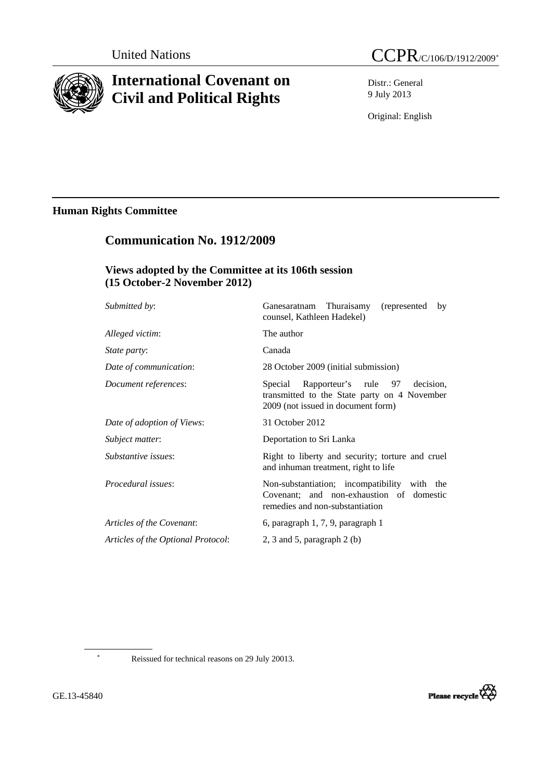

# **International Covenant on Civil and Political Rights**

Distr.: General 9 July 2013

Original: English

## **Human Rights Committee**

## **Communication No. 1912/2009**

### **Views adopted by the Committee at its 106th session (15 October-2 November 2012)**

| <i>Submitted by:</i>               | Ganesaratnam Thuraisamy (represented<br>by<br>counsel, Kathleen Hadekel)                                                           |
|------------------------------------|------------------------------------------------------------------------------------------------------------------------------------|
| Alleged victim:                    | The author                                                                                                                         |
| <i>State party:</i>                | Canada                                                                                                                             |
| Date of communication:             | 28 October 2009 (initial submission)                                                                                               |
| Document references:               | Rapporteur's rule 97<br>decision.<br>Special<br>transmitted to the State party on 4 November<br>2009 (not issued in document form) |
| Date of adoption of Views:         | 31 October 2012                                                                                                                    |
| Subject matter:                    | Deportation to Sri Lanka                                                                                                           |
| Substantive issues:                | Right to liberty and security; torture and cruel<br>and inhuman treatment, right to life                                           |
| Procedural issues:                 | Non-substantiation; incompatibility with the<br>Covenant; and non-exhaustion of domestic<br>remedies and non-substantiation        |
| Articles of the Covenant:          | 6, paragraph 1, 7, 9, paragraph 1                                                                                                  |
| Articles of the Optional Protocol: | 2, 3 and 5, paragraph $2$ (b)                                                                                                      |
|                                    |                                                                                                                                    |

∗

Reissued for technical reasons on 29 July 20013.

<span id="page-0-0"></span>GE.13-45840

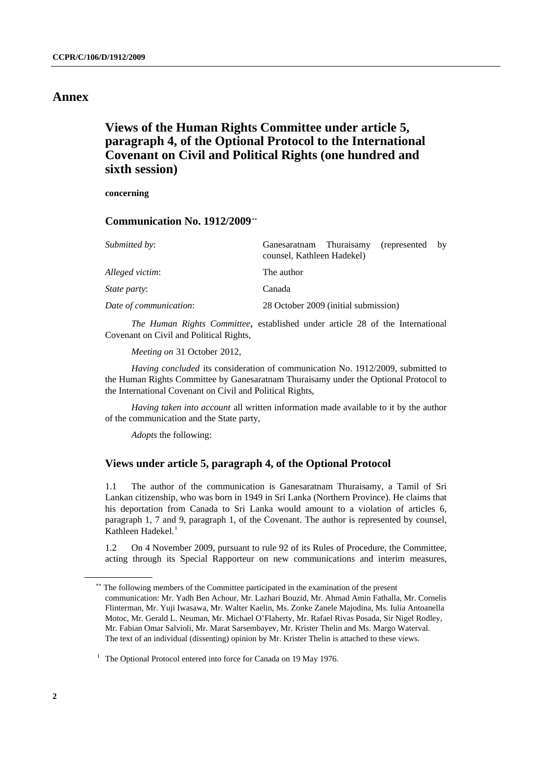### **Annex**

## **Views of the Human Rights Committee under article 5, paragraph 4, of the Optional Protocol to the International Covenant on Civil and Political Rights (one hundred and sixth session)**

**concerning** 

#### **Communication No. 1912/2009**[∗∗](#page-1-0)

| <i>Submitted by:</i>   | Ganesaratnam Thuraisamy<br>(represented by<br>counsel, Kathleen Hadekel) |
|------------------------|--------------------------------------------------------------------------|
| Alleged victim:        | The author                                                               |
| <i>State party:</i>    | Canada                                                                   |
| Date of communication: | 28 October 2009 (initial submission)                                     |

*The Human Rights Committee*, established under article 28 of the International Covenant on Civil and Political Rights,

*Meeting on* 31 October 2012,

*Having concluded* its consideration of communication No. 1912/2009, submitted to the Human Rights Committee by Ganesaratnam Thuraisamy under the Optional Protocol to the International Covenant on Civil and Political Rights,

*Having taken into account* all written information made available to it by the author of the communication and the State party,

*Adopts* the following:

#### **Views under article 5, paragraph 4, of the Optional Protocol**

1.1 The author of the communication is Ganesaratnam Thuraisamy, a Tamil of Sri Lankan citizenship, who was born in 1949 in Sri Lanka (Northern Province). He claims that his deportation from Canada to Sri Lanka would amount to a violation of articles 6, paragraph 1, 7 and 9, paragraph 1, of the Covenant. The author is represented by counsel, Kathleen Hadekel.<sup>[1](#page-1-1)</sup>

1.2 On 4 November 2009, pursuant to rule 92 of its Rules of Procedure, the Committee, acting through its Special Rapporteur on new communications and interim measures,

<span id="page-1-0"></span><sup>∗∗</sup> The following members of the Committee participated in the examination of the present communication: Mr. Yadh Ben Achour, Mr. Lazhari Bouzid, Mr. Ahmad Amin Fathalla, Mr. Cornelis Flinterman, Mr. Yuji Iwasawa, Mr. Walter Kaelin, Ms. Zonke Zanele Majodina, Ms. Iulia Antoanella Motoc, Mr. Gerald L. Neuman, Mr. Michael O'Flaherty, Mr. Rafael Rivas Posada, Sir Nigel Rodley, Mr. Fabian Omar Salvioli, Mr. Marat Sarsembayev, Mr. Krister Thelin and Ms. Margo Waterval. The text of an individual (dissenting) opinion by Mr. Krister Thelin is attached to these views.

<span id="page-1-1"></span><sup>&</sup>lt;sup>1</sup> The Optional Protocol entered into force for Canada on 19 May 1976.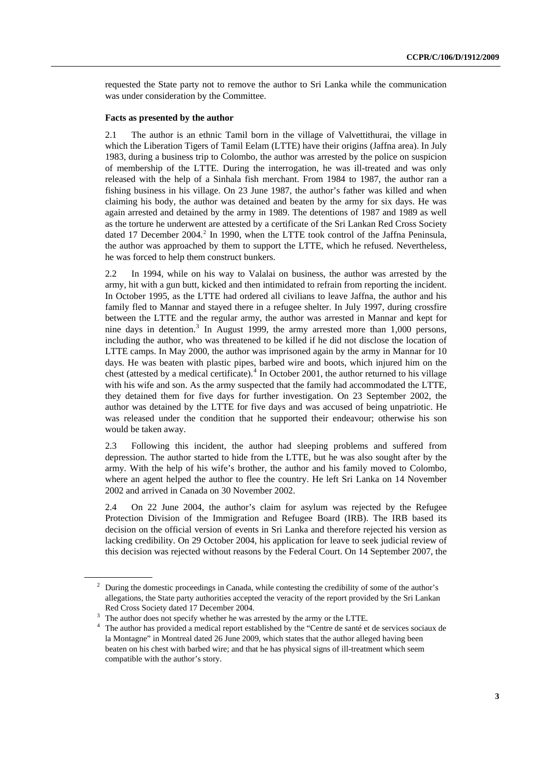requested the State party not to remove the author to Sri Lanka while the communication was under consideration by the Committee.

#### **Facts as presented by the author**

2.1 The author is an ethnic Tamil born in the village of Valvettithurai, the village in which the Liberation Tigers of Tamil Eelam (LTTE) have their origins (Jaffna area). In July 1983, during a business trip to Colombo, the author was arrested by the police on suspicion of membership of the LTTE. During the interrogation, he was ill-treated and was only released with the help of a Sinhala fish merchant. From 1984 to 1987, the author ran a fishing business in his village. On 23 June 1987, the author's father was killed and when claiming his body, the author was detained and beaten by the army for six days. He was again arrested and detained by the army in 1989. The detentions of 1987 and 1989 as well as the torture he underwent are attested by a certificate of the Sri Lankan Red Cross Society dated 17 December [2](#page-2-0)004.<sup>2</sup> In 1990, when the LTTE took control of the Jaffna Peninsula, the author was approached by them to support the LTTE, which he refused. Nevertheless, he was forced to help them construct bunkers.

2.2 In 1994, while on his way to Valalai on business, the author was arrested by the army, hit with a gun butt, kicked and then intimidated to refrain from reporting the incident. In October 1995, as the LTTE had ordered all civilians to leave Jaffna, the author and his family fled to Mannar and stayed there in a refugee shelter. In July 1997, during crossfire between the LTTE and the regular army, the author was arrested in Mannar and kept for nine days in detention.<sup>[3](#page-2-1)</sup> In August 1999, the army arrested more than  $1,000$  persons, including the author, who was threatened to be killed if he did not disclose the location of LTTE camps. In May 2000, the author was imprisoned again by the army in Mannar for 10 days. He was beaten with plastic pipes, barbed wire and boots, which injured him on the chest (attested by a medical certificate).<sup>[4](#page-2-2)</sup> In October 2001, the author returned to his village with his wife and son. As the army suspected that the family had accommodated the LTTE, they detained them for five days for further investigation. On 23 September 2002, the author was detained by the LTTE for five days and was accused of being unpatriotic. He was released under the condition that he supported their endeavour; otherwise his son would be taken away.

2.3 Following this incident, the author had sleeping problems and suffered from depression. The author started to hide from the LTTE, but he was also sought after by the army. With the help of his wife's brother, the author and his family moved to Colombo, where an agent helped the author to flee the country. He left Sri Lanka on 14 November 2002 and arrived in Canada on 30 November 2002.

2.4 On 22 June 2004, the author's claim for asylum was rejected by the Refugee Protection Division of the Immigration and Refugee Board (IRB). The IRB based its decision on the official version of events in Sri Lanka and therefore rejected his version as lacking credibility. On 29 October 2004, his application for leave to seek judicial review of this decision was rejected without reasons by the Federal Court. On 14 September 2007, the

<span id="page-2-0"></span><sup>&</sup>lt;sup>2</sup> During the domestic proceedings in Canada, while contesting the credibility of some of the author's allegations, the State party authorities accepted the veracity of the report provided by the Sri Lankan Red Cross Society dated 17 December 2004.

<span id="page-2-1"></span> $3$  The author does not specify whether he was arrested by the army or the LTTE.

<span id="page-2-2"></span><sup>&</sup>lt;sup>4</sup> The author has provided a medical report established by the "Centre de santé et de services sociaux de la Montagne" in Montreal dated 26 June 2009, which states that the author alleged having been beaten on his chest with barbed wire; and that he has physical signs of ill-treatment which seem compatible with the author's story.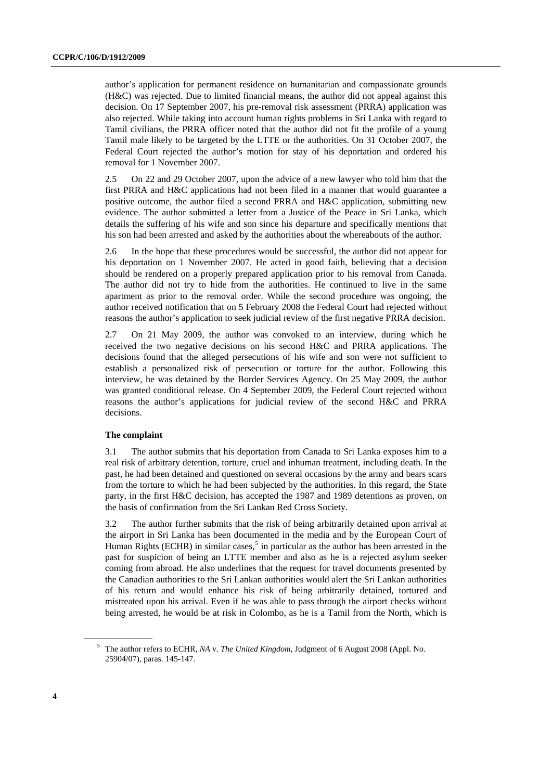author's application for permanent residence on humanitarian and compassionate grounds (H&C) was rejected. Due to limited financial means, the author did not appeal against this decision. On 17 September 2007, his pre-removal risk assessment (PRRA) application was also rejected. While taking into account human rights problems in Sri Lanka with regard to Tamil civilians, the PRRA officer noted that the author did not fit the profile of a young Tamil male likely to be targeted by the LTTE or the authorities. On 31 October 2007, the Federal Court rejected the author's motion for stay of his deportation and ordered his removal for 1 November 2007.

2.5 On 22 and 29 October 2007, upon the advice of a new lawyer who told him that the first PRRA and H&C applications had not been filed in a manner that would guarantee a positive outcome, the author filed a second PRRA and H&C application, submitting new evidence. The author submitted a letter from a Justice of the Peace in Sri Lanka, which details the suffering of his wife and son since his departure and specifically mentions that his son had been arrested and asked by the authorities about the whereabouts of the author.

2.6 In the hope that these procedures would be successful, the author did not appear for his deportation on 1 November 2007. He acted in good faith, believing that a decision should be rendered on a properly prepared application prior to his removal from Canada. The author did not try to hide from the authorities. He continued to live in the same apartment as prior to the removal order. While the second procedure was ongoing, the author received notification that on 5 February 2008 the Federal Court had rejected without reasons the author's application to seek judicial review of the first negative PRRA decision.

2.7 On 21 May 2009, the author was convoked to an interview, during which he received the two negative decisions on his second H&C and PRRA applications. The decisions found that the alleged persecutions of his wife and son were not sufficient to establish a personalized risk of persecution or torture for the author. Following this interview, he was detained by the Border Services Agency. On 25 May 2009, the author was granted conditional release. On 4 September 2009, the Federal Court rejected without reasons the author's applications for judicial review of the second H&C and PRRA decisions.

#### **The complaint**

3.1 The author submits that his deportation from Canada to Sri Lanka exposes him to a real risk of arbitrary detention, torture, cruel and inhuman treatment, including death. In the past, he had been detained and questioned on several occasions by the army and bears scars from the torture to which he had been subjected by the authorities. In this regard, the State party, in the first H&C decision, has accepted the 1987 and 1989 detentions as proven, on the basis of confirmation from the Sri Lankan Red Cross Society.

3.2 The author further submits that the risk of being arbitrarily detained upon arrival at the airport in Sri Lanka has been documented in the media and by the European Court of Human Rights (ECHR) in similar cases,<sup>[5](#page-3-0)</sup> in particular as the author has been arrested in the past for suspicion of being an LTTE member and also as he is a rejected asylum seeker coming from abroad. He also underlines that the request for travel documents presented by the Canadian authorities to the Sri Lankan authorities would alert the Sri Lankan authorities of his return and would enhance his risk of being arbitrarily detained, tortured and mistreated upon his arrival. Even if he was able to pass through the airport checks without being arrested, he would be at risk in Colombo, as he is a Tamil from the North, which is

<span id="page-3-0"></span><sup>5</sup> The author refers to ECHR, *NA* v*. The United Kingdom*, Judgment of 6 August 2008 (Appl. No. 25904/07), paras. 145-147.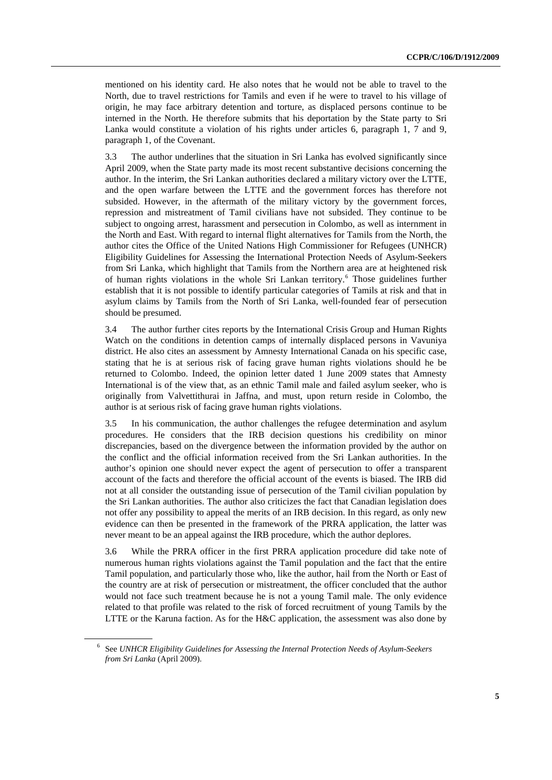mentioned on his identity card. He also notes that he would not be able to travel to the North, due to travel restrictions for Tamils and even if he were to travel to his village of origin, he may face arbitrary detention and torture, as displaced persons continue to be interned in the North. He therefore submits that his deportation by the State party to Sri Lanka would constitute a violation of his rights under articles 6, paragraph 1, 7 and 9, paragraph 1, of the Covenant.

3.3 The author underlines that the situation in Sri Lanka has evolved significantly since April 2009, when the State party made its most recent substantive decisions concerning the author. In the interim, the Sri Lankan authorities declared a military victory over the LTTE, and the open warfare between the LTTE and the government forces has therefore not subsided. However, in the aftermath of the military victory by the government forces, repression and mistreatment of Tamil civilians have not subsided. They continue to be subject to ongoing arrest, harassment and persecution in Colombo, as well as internment in the North and East. With regard to internal flight alternatives for Tamils from the North, the author cites the Office of the United Nations High Commissioner for Refugees (UNHCR) Eligibility Guidelines for Assessing the International Protection Needs of Asylum-Seekers from Sri Lanka, which highlight that Tamils from the Northern area are at heightened risk of human rights violations in the whole Sri Lankan territory.<sup>6</sup> Those guidelines further establish that it is not possible to identify particular categories of Tamils at risk and that in asylum claims by Tamils from the North of Sri Lanka, well-founded fear of persecution should be presumed.

3.4 The author further cites reports by the International Crisis Group and Human Rights Watch on the conditions in detention camps of internally displaced persons in Vavuniya district. He also cites an assessment by Amnesty International Canada on his specific case, stating that he is at serious risk of facing grave human rights violations should he be returned to Colombo. Indeed, the opinion letter dated 1 June 2009 states that Amnesty International is of the view that, as an ethnic Tamil male and failed asylum seeker, who is originally from Valvettithurai in Jaffna, and must, upon return reside in Colombo, the author is at serious risk of facing grave human rights violations.

3.5 In his communication, the author challenges the refugee determination and asylum procedures. He considers that the IRB decision questions his credibility on minor discrepancies, based on the divergence between the information provided by the author on the conflict and the official information received from the Sri Lankan authorities. In the author's opinion one should never expect the agent of persecution to offer a transparent account of the facts and therefore the official account of the events is biased. The IRB did not at all consider the outstanding issue of persecution of the Tamil civilian population by the Sri Lankan authorities. The author also criticizes the fact that Canadian legislation does not offer any possibility to appeal the merits of an IRB decision. In this regard, as only new evidence can then be presented in the framework of the PRRA application, the latter was never meant to be an appeal against the IRB procedure, which the author deplores.

3.6 While the PRRA officer in the first PRRA application procedure did take note of numerous human rights violations against the Tamil population and the fact that the entire Tamil population, and particularly those who, like the author, hail from the North or East of the country are at risk of persecution or mistreatment, the officer concluded that the author would not face such treatment because he is not a young Tamil male. The only evidence related to that profile was related to the risk of forced recruitment of young Tamils by the LTTE or the Karuna faction. As for the H&C application, the assessment was also done by

<span id="page-4-0"></span><sup>6</sup> See *UNHCR Eligibility Guidelines for Assessing the Internal Protection Needs of Asylum-Seekers from Sri Lanka* (April 2009).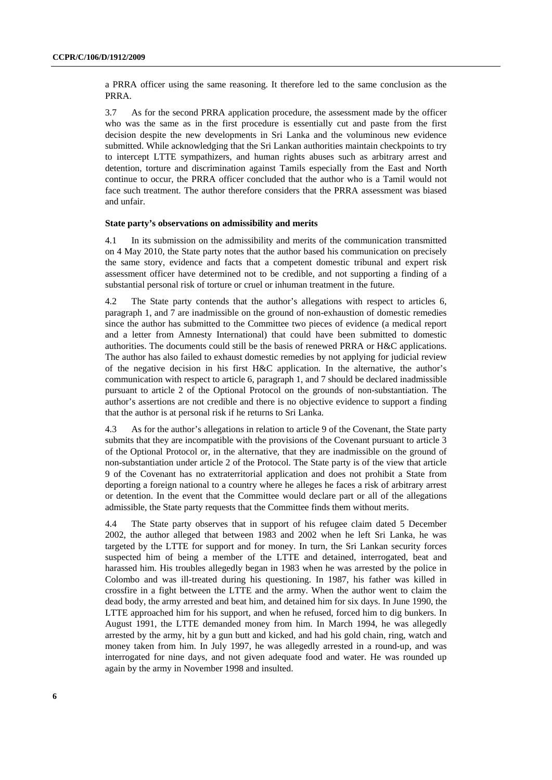a PRRA officer using the same reasoning. It therefore led to the same conclusion as the PRRA.

3.7 As for the second PRRA application procedure, the assessment made by the officer who was the same as in the first procedure is essentially cut and paste from the first decision despite the new developments in Sri Lanka and the voluminous new evidence submitted. While acknowledging that the Sri Lankan authorities maintain checkpoints to try to intercept LTTE sympathizers, and human rights abuses such as arbitrary arrest and detention, torture and discrimination against Tamils especially from the East and North continue to occur, the PRRA officer concluded that the author who is a Tamil would not face such treatment. The author therefore considers that the PRRA assessment was biased and unfair.

#### **State party's observations on admissibility and merits**

4.1 In its submission on the admissibility and merits of the communication transmitted on 4 May 2010, the State party notes that the author based his communication on precisely the same story, evidence and facts that a competent domestic tribunal and expert risk assessment officer have determined not to be credible, and not supporting a finding of a substantial personal risk of torture or cruel or inhuman treatment in the future.

4.2 The State party contends that the author's allegations with respect to articles 6, paragraph 1, and 7 are inadmissible on the ground of non-exhaustion of domestic remedies since the author has submitted to the Committee two pieces of evidence (a medical report and a letter from Amnesty International) that could have been submitted to domestic authorities. The documents could still be the basis of renewed PRRA or H&C applications. The author has also failed to exhaust domestic remedies by not applying for judicial review of the negative decision in his first H&C application. In the alternative, the author's communication with respect to article 6, paragraph 1, and 7 should be declared inadmissible pursuant to article 2 of the Optional Protocol on the grounds of non-substantiation. The author's assertions are not credible and there is no objective evidence to support a finding that the author is at personal risk if he returns to Sri Lanka.

4.3 As for the author's allegations in relation to article 9 of the Covenant, the State party submits that they are incompatible with the provisions of the Covenant pursuant to article 3 of the Optional Protocol or, in the alternative, that they are inadmissible on the ground of non-substantiation under article 2 of the Protocol. The State party is of the view that article 9 of the Covenant has no extraterritorial application and does not prohibit a State from deporting a foreign national to a country where he alleges he faces a risk of arbitrary arrest or detention. In the event that the Committee would declare part or all of the allegations admissible, the State party requests that the Committee finds them without merits.

4.4 The State party observes that in support of his refugee claim dated 5 December 2002, the author alleged that between 1983 and 2002 when he left Sri Lanka, he was targeted by the LTTE for support and for money. In turn, the Sri Lankan security forces suspected him of being a member of the LTTE and detained, interrogated, beat and harassed him. His troubles allegedly began in 1983 when he was arrested by the police in Colombo and was ill-treated during his questioning. In 1987, his father was killed in crossfire in a fight between the LTTE and the army. When the author went to claim the dead body, the army arrested and beat him, and detained him for six days. In June 1990, the LTTE approached him for his support, and when he refused, forced him to dig bunkers. In August 1991, the LTTE demanded money from him. In March 1994, he was allegedly arrested by the army, hit by a gun butt and kicked, and had his gold chain, ring, watch and money taken from him. In July 1997, he was allegedly arrested in a round-up, and was interrogated for nine days, and not given adequate food and water. He was rounded up again by the army in November 1998 and insulted.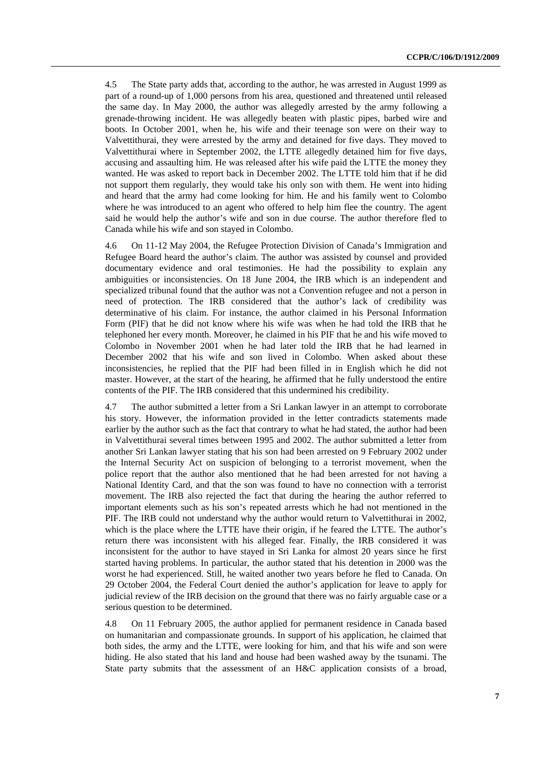4.5 The State party adds that, according to the author, he was arrested in August 1999 as part of a round-up of 1,000 persons from his area, questioned and threatened until released the same day. In May 2000, the author was allegedly arrested by the army following a grenade-throwing incident. He was allegedly beaten with plastic pipes, barbed wire and boots. In October 2001, when he, his wife and their teenage son were on their way to Valvettithurai, they were arrested by the army and detained for five days. They moved to Valvettithurai where in September 2002, the LTTE allegedly detained him for five days, accusing and assaulting him. He was released after his wife paid the LTTE the money they wanted. He was asked to report back in December 2002. The LTTE told him that if he did not support them regularly, they would take his only son with them. He went into hiding and heard that the army had come looking for him. He and his family went to Colombo where he was introduced to an agent who offered to help him flee the country. The agent said he would help the author's wife and son in due course. The author therefore fled to Canada while his wife and son stayed in Colombo.

4.6 On 11-12 May 2004, the Refugee Protection Division of Canada's Immigration and Refugee Board heard the author's claim. The author was assisted by counsel and provided documentary evidence and oral testimonies. He had the possibility to explain any ambiguities or inconsistencies. On 18 June 2004, the IRB which is an independent and specialized tribunal found that the author was not a Convention refugee and not a person in need of protection. The IRB considered that the author's lack of credibility was determinative of his claim. For instance, the author claimed in his Personal Information Form (PIF) that he did not know where his wife was when he had told the IRB that he telephoned her every month. Moreover, he claimed in his PIF that he and his wife moved to Colombo in November 2001 when he had later told the IRB that he had learned in December 2002 that his wife and son lived in Colombo. When asked about these inconsistencies, he replied that the PIF had been filled in in English which he did not master. However, at the start of the hearing, he affirmed that he fully understood the entire contents of the PIF. The IRB considered that this undermined his credibility.

4.7 The author submitted a letter from a Sri Lankan lawyer in an attempt to corroborate his story. However, the information provided in the letter contradicts statements made earlier by the author such as the fact that contrary to what he had stated, the author had been in Valvettithurai several times between 1995 and 2002. The author submitted a letter from another Sri Lankan lawyer stating that his son had been arrested on 9 February 2002 under the Internal Security Act on suspicion of belonging to a terrorist movement, when the police report that the author also mentioned that he had been arrested for not having a National Identity Card, and that the son was found to have no connection with a terrorist movement. The IRB also rejected the fact that during the hearing the author referred to important elements such as his son's repeated arrests which he had not mentioned in the PIF. The IRB could not understand why the author would return to Valvettithurai in 2002, which is the place where the LTTE have their origin, if he feared the LTTE. The author's return there was inconsistent with his alleged fear. Finally, the IRB considered it was inconsistent for the author to have stayed in Sri Lanka for almost 20 years since he first started having problems. In particular, the author stated that his detention in 2000 was the worst he had experienced. Still, he waited another two years before he fled to Canada. On 29 October 2004, the Federal Court denied the author's application for leave to apply for judicial review of the IRB decision on the ground that there was no fairly arguable case or a serious question to be determined.

4.8 On 11 February 2005, the author applied for permanent residence in Canada based on humanitarian and compassionate grounds. In support of his application, he claimed that both sides, the army and the LTTE, were looking for him, and that his wife and son were hiding. He also stated that his land and house had been washed away by the tsunami. The State party submits that the assessment of an H&C application consists of a broad,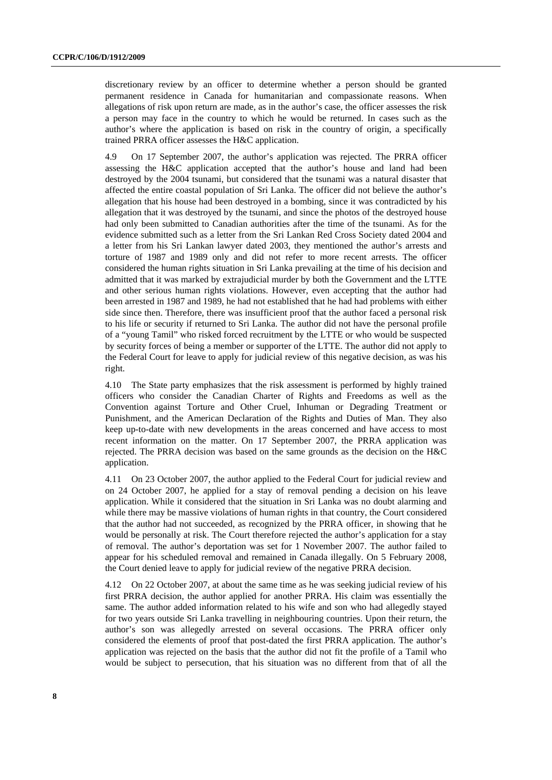discretionary review by an officer to determine whether a person should be granted permanent residence in Canada for humanitarian and compassionate reasons. When allegations of risk upon return are made, as in the author's case, the officer assesses the risk a person may face in the country to which he would be returned. In cases such as the author's where the application is based on risk in the country of origin, a specifically trained PRRA officer assesses the H&C application.

4.9 On 17 September 2007, the author's application was rejected. The PRRA officer assessing the H&C application accepted that the author's house and land had been destroyed by the 2004 tsunami, but considered that the tsunami was a natural disaster that affected the entire coastal population of Sri Lanka. The officer did not believe the author's allegation that his house had been destroyed in a bombing, since it was contradicted by his allegation that it was destroyed by the tsunami, and since the photos of the destroyed house had only been submitted to Canadian authorities after the time of the tsunami. As for the evidence submitted such as a letter from the Sri Lankan Red Cross Society dated 2004 and a letter from his Sri Lankan lawyer dated 2003, they mentioned the author's arrests and torture of 1987 and 1989 only and did not refer to more recent arrests. The officer considered the human rights situation in Sri Lanka prevailing at the time of his decision and admitted that it was marked by extrajudicial murder by both the Government and the LTTE and other serious human rights violations. However, even accepting that the author had been arrested in 1987 and 1989, he had not established that he had had problems with either side since then. Therefore, there was insufficient proof that the author faced a personal risk to his life or security if returned to Sri Lanka. The author did not have the personal profile of a "young Tamil" who risked forced recruitment by the LTTE or who would be suspected by security forces of being a member or supporter of the LTTE. The author did not apply to the Federal Court for leave to apply for judicial review of this negative decision, as was his right.

4.10 The State party emphasizes that the risk assessment is performed by highly trained officers who consider the Canadian Charter of Rights and Freedoms as well as the Convention against Torture and Other Cruel, Inhuman or Degrading Treatment or Punishment, and the American Declaration of the Rights and Duties of Man. They also keep up-to-date with new developments in the areas concerned and have access to most recent information on the matter. On 17 September 2007, the PRRA application was rejected. The PRRA decision was based on the same grounds as the decision on the H&C application.

4.11 On 23 October 2007, the author applied to the Federal Court for judicial review and on 24 October 2007, he applied for a stay of removal pending a decision on his leave application. While it considered that the situation in Sri Lanka was no doubt alarming and while there may be massive violations of human rights in that country, the Court considered that the author had not succeeded, as recognized by the PRRA officer, in showing that he would be personally at risk. The Court therefore rejected the author's application for a stay of removal. The author's deportation was set for 1 November 2007. The author failed to appear for his scheduled removal and remained in Canada illegally. On 5 February 2008, the Court denied leave to apply for judicial review of the negative PRRA decision.

4.12 On 22 October 2007, at about the same time as he was seeking judicial review of his first PRRA decision, the author applied for another PRRA. His claim was essentially the same. The author added information related to his wife and son who had allegedly stayed for two years outside Sri Lanka travelling in neighbouring countries. Upon their return, the author's son was allegedly arrested on several occasions. The PRRA officer only considered the elements of proof that post-dated the first PRRA application. The author's application was rejected on the basis that the author did not fit the profile of a Tamil who would be subject to persecution, that his situation was no different from that of all the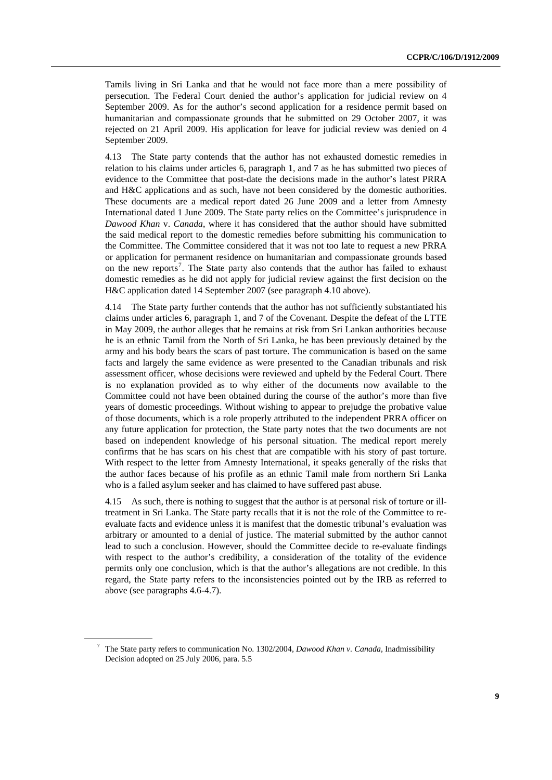Tamils living in Sri Lanka and that he would not face more than a mere possibility of persecution. The Federal Court denied the author's application for judicial review on 4 September 2009. As for the author's second application for a residence permit based on humanitarian and compassionate grounds that he submitted on 29 October 2007, it was rejected on 21 April 2009. His application for leave for judicial review was denied on 4 September 2009.

4.13 The State party contends that the author has not exhausted domestic remedies in relation to his claims under articles 6, paragraph 1, and 7 as he has submitted two pieces of evidence to the Committee that post-date the decisions made in the author's latest PRRA and H&C applications and as such, have not been considered by the domestic authorities. These documents are a medical report dated 26 June 2009 and a letter from Amnesty International dated 1 June 2009. The State party relies on the Committee's jurisprudence in *Dawood Khan* v. *Canada*, where it has considered that the author should have submitted the said medical report to the domestic remedies before submitting his communication to the Committee. The Committee considered that it was not too late to request a new PRRA or application for permanent residence on humanitarian and compassionate grounds based on the new reports<sup>[7](#page-8-0)</sup>. The State party also contends that the author has failed to exhaust domestic remedies as he did not apply for judicial review against the first decision on the H&C application dated 14 September 2007 (see paragraph 4.10 above).

4.14 The State party further contends that the author has not sufficiently substantiated his claims under articles 6, paragraph 1, and 7 of the Covenant. Despite the defeat of the LTTE in May 2009, the author alleges that he remains at risk from Sri Lankan authorities because he is an ethnic Tamil from the North of Sri Lanka, he has been previously detained by the army and his body bears the scars of past torture. The communication is based on the same facts and largely the same evidence as were presented to the Canadian tribunals and risk assessment officer, whose decisions were reviewed and upheld by the Federal Court. There is no explanation provided as to why either of the documents now available to the Committee could not have been obtained during the course of the author's more than five years of domestic proceedings. Without wishing to appear to prejudge the probative value of those documents, which is a role properly attributed to the independent PRRA officer on any future application for protection, the State party notes that the two documents are not based on independent knowledge of his personal situation. The medical report merely confirms that he has scars on his chest that are compatible with his story of past torture. With respect to the letter from Amnesty International, it speaks generally of the risks that the author faces because of his profile as an ethnic Tamil male from northern Sri Lanka who is a failed asylum seeker and has claimed to have suffered past abuse.

4.15 As such, there is nothing to suggest that the author is at personal risk of torture or illtreatment in Sri Lanka. The State party recalls that it is not the role of the Committee to reevaluate facts and evidence unless it is manifest that the domestic tribunal's evaluation was arbitrary or amounted to a denial of justice. The material submitted by the author cannot lead to such a conclusion. However, should the Committee decide to re-evaluate findings with respect to the author's credibility, a consideration of the totality of the evidence permits only one conclusion, which is that the author's allegations are not credible. In this regard, the State party refers to the inconsistencies pointed out by the IRB as referred to above (see paragraphs 4.6-4.7).

<span id="page-8-0"></span><sup>7</sup> The State party refers to communication No. 1302/2004, *Dawood Khan v. Canada*, Inadmissibility Decision adopted on 25 July 2006, para. 5.5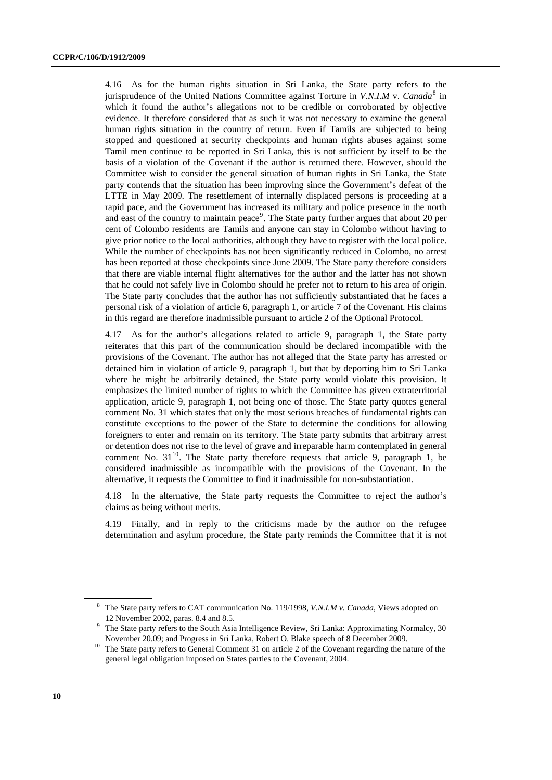4.16 As for the human rights situation in Sri Lanka, the State party refers to the jurisprudence of the United Nations Committee against Torture in *V.N.I.M* v. *Canada*<sup>[8](#page-9-0)</sup> in which it found the author's allegations not to be credible or corroborated by objective evidence. It therefore considered that as such it was not necessary to examine the general human rights situation in the country of return. Even if Tamils are subjected to being stopped and questioned at security checkpoints and human rights abuses against some Tamil men continue to be reported in Sri Lanka, this is not sufficient by itself to be the basis of a violation of the Covenant if the author is returned there. However, should the Committee wish to consider the general situation of human rights in Sri Lanka, the State party contends that the situation has been improving since the Government's defeat of the LTTE in May 2009. The resettlement of internally displaced persons is proceeding at a rapid pace, and the Government has increased its military and police presence in the north and east of the country to maintain peace<sup>[9](#page-9-1)</sup>. The State party further argues that about 20 per cent of Colombo residents are Tamils and anyone can stay in Colombo without having to give prior notice to the local authorities, although they have to register with the local police. While the number of checkpoints has not been significantly reduced in Colombo, no arrest has been reported at those checkpoints since June 2009. The State party therefore considers that there are viable internal flight alternatives for the author and the latter has not shown that he could not safely live in Colombo should he prefer not to return to his area of origin. The State party concludes that the author has not sufficiently substantiated that he faces a personal risk of a violation of article 6, paragraph 1, or article 7 of the Covenant. His claims in this regard are therefore inadmissible pursuant to article 2 of the Optional Protocol.

4.17 As for the author's allegations related to article 9, paragraph 1, the State party reiterates that this part of the communication should be declared incompatible with the provisions of the Covenant. The author has not alleged that the State party has arrested or detained him in violation of article 9, paragraph 1, but that by deporting him to Sri Lanka where he might be arbitrarily detained, the State party would violate this provision. It emphasizes the limited number of rights to which the Committee has given extraterritorial application, article 9, paragraph 1, not being one of those. The State party quotes general comment No. 31 which states that only the most serious breaches of fundamental rights can constitute exceptions to the power of the State to determine the conditions for allowing foreigners to enter and remain on its territory. The State party submits that arbitrary arrest or detention does not rise to the level of grave and irreparable harm contemplated in general comment No.  $31^{10}$  $31^{10}$  $31^{10}$ . The State party therefore requests that article 9, paragraph 1, be considered inadmissible as incompatible with the provisions of the Covenant. In the alternative, it requests the Committee to find it inadmissible for non-substantiation.

4.18 In the alternative, the State party requests the Committee to reject the author's claims as being without merits.

4.19 Finally, and in reply to the criticisms made by the author on the refugee determination and asylum procedure, the State party reminds the Committee that it is not

<span id="page-9-0"></span><sup>8</sup> The State party refers to CAT communication No. 119/1998, *V.N.I.M v. Canada*, Views adopted on

<sup>&</sup>lt;sup>9</sup> The State party refers to the South Asia Intelligence Review, Sri Lanka: Approximating Normalcy, 30<sup>9</sup> The State party refers to the South Asia Intelligence Review, Sri Lanka: Approximating Normalcy, 30

<span id="page-9-2"></span><span id="page-9-1"></span>November 20.09; and Progress in Sri Lanka, Robert O. Blake speech of 8 December 2009. 10 The State party refers to General Comment 31 on article 2 of the Covenant regarding the nature of the general legal obligation imposed on States parties to the Covenant, 2004.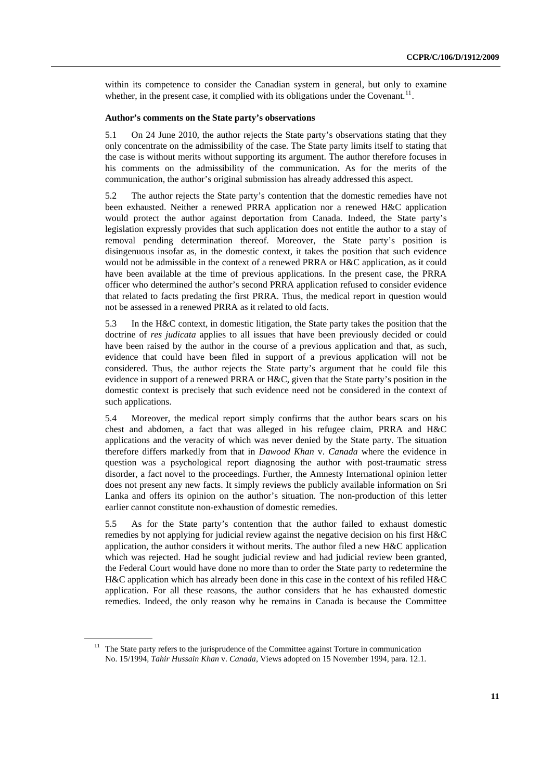within its competence to consider the Canadian system in general, but only to examine whether, in the present case, it complied with its obligations under the Covenant.<sup>[11](#page-10-0)</sup>.

#### **Author's comments on the State party's observations**

5.1 On 24 June 2010, the author rejects the State party's observations stating that they only concentrate on the admissibility of the case. The State party limits itself to stating that the case is without merits without supporting its argument. The author therefore focuses in his comments on the admissibility of the communication. As for the merits of the communication, the author's original submission has already addressed this aspect.

5.2 The author rejects the State party's contention that the domestic remedies have not been exhausted. Neither a renewed PRRA application nor a renewed H&C application would protect the author against deportation from Canada. Indeed, the State party's legislation expressly provides that such application does not entitle the author to a stay of removal pending determination thereof. Moreover, the State party's position is disingenuous insofar as, in the domestic context, it takes the position that such evidence would not be admissible in the context of a renewed PRRA or H&C application, as it could have been available at the time of previous applications. In the present case, the PRRA officer who determined the author's second PRRA application refused to consider evidence that related to facts predating the first PRRA. Thus, the medical report in question would not be assessed in a renewed PRRA as it related to old facts.

5.3 In the H&C context, in domestic litigation, the State party takes the position that the doctrine of *res judicata* applies to all issues that have been previously decided or could have been raised by the author in the course of a previous application and that, as such, evidence that could have been filed in support of a previous application will not be considered. Thus, the author rejects the State party's argument that he could file this evidence in support of a renewed PRRA or H&C, given that the State party's position in the domestic context is precisely that such evidence need not be considered in the context of such applications.

5.4 Moreover, the medical report simply confirms that the author bears scars on his chest and abdomen, a fact that was alleged in his refugee claim, PRRA and H&C applications and the veracity of which was never denied by the State party. The situation therefore differs markedly from that in *Dawood Khan* v. *Canada* where the evidence in question was a psychological report diagnosing the author with post-traumatic stress disorder, a fact novel to the proceedings. Further, the Amnesty International opinion letter does not present any new facts. It simply reviews the publicly available information on Sri Lanka and offers its opinion on the author's situation. The non-production of this letter earlier cannot constitute non-exhaustion of domestic remedies.

5.5 As for the State party's contention that the author failed to exhaust domestic remedies by not applying for judicial review against the negative decision on his first H&C application, the author considers it without merits. The author filed a new H&C application which was rejected. Had he sought judicial review and had judicial review been granted, the Federal Court would have done no more than to order the State party to redetermine the H&C application which has already been done in this case in the context of his refiled H&C application. For all these reasons, the author considers that he has exhausted domestic remedies. Indeed, the only reason why he remains in Canada is because the Committee

<span id="page-10-0"></span><sup>&</sup>lt;sup>11</sup> The State party refers to the jurisprudence of the Committee against Torture in communication No. 15/1994, *Tahir Hussain Khan* v. *Canada*, Views adopted on 15 November 1994, para. 12.1.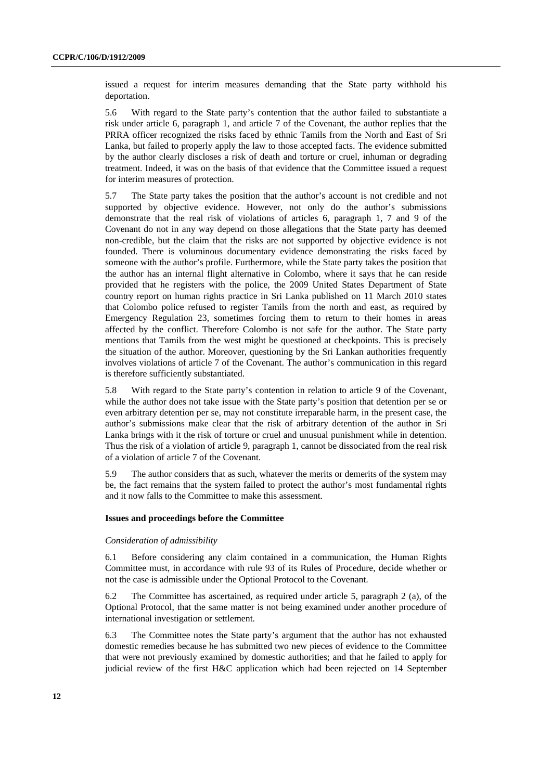issued a request for interim measures demanding that the State party withhold his deportation.

5.6 With regard to the State party's contention that the author failed to substantiate a risk under article 6, paragraph 1, and article 7 of the Covenant, the author replies that the PRRA officer recognized the risks faced by ethnic Tamils from the North and East of Sri Lanka, but failed to properly apply the law to those accepted facts. The evidence submitted by the author clearly discloses a risk of death and torture or cruel, inhuman or degrading treatment. Indeed, it was on the basis of that evidence that the Committee issued a request for interim measures of protection.

5.7 The State party takes the position that the author's account is not credible and not supported by objective evidence. However, not only do the author's submissions demonstrate that the real risk of violations of articles 6, paragraph 1, 7 and 9 of the Covenant do not in any way depend on those allegations that the State party has deemed non-credible, but the claim that the risks are not supported by objective evidence is not founded. There is voluminous documentary evidence demonstrating the risks faced by someone with the author's profile. Furthermore, while the State party takes the position that the author has an internal flight alternative in Colombo, where it says that he can reside provided that he registers with the police, the 2009 United States Department of State country report on human rights practice in Sri Lanka published on 11 March 2010 states that Colombo police refused to register Tamils from the north and east, as required by Emergency Regulation 23, sometimes forcing them to return to their homes in areas affected by the conflict. Therefore Colombo is not safe for the author. The State party mentions that Tamils from the west might be questioned at checkpoints. This is precisely the situation of the author. Moreover, questioning by the Sri Lankan authorities frequently involves violations of article 7 of the Covenant. The author's communication in this regard is therefore sufficiently substantiated.

5.8 With regard to the State party's contention in relation to article 9 of the Covenant, while the author does not take issue with the State party's position that detention per se or even arbitrary detention per se, may not constitute irreparable harm, in the present case, the author's submissions make clear that the risk of arbitrary detention of the author in Sri Lanka brings with it the risk of torture or cruel and unusual punishment while in detention. Thus the risk of a violation of article 9, paragraph 1, cannot be dissociated from the real risk of a violation of article 7 of the Covenant.

5.9 The author considers that as such, whatever the merits or demerits of the system may be, the fact remains that the system failed to protect the author's most fundamental rights and it now falls to the Committee to make this assessment.

#### **Issues and proceedings before the Committee**

#### *Consideration of admissibility*

6.1 Before considering any claim contained in a communication, the Human Rights Committee must, in accordance with rule 93 of its Rules of Procedure, decide whether or not the case is admissible under the Optional Protocol to the Covenant.

6.2 The Committee has ascertained, as required under article 5, paragraph 2 (a), of the Optional Protocol, that the same matter is not being examined under another procedure of international investigation or settlement.

6.3 The Committee notes the State party's argument that the author has not exhausted domestic remedies because he has submitted two new pieces of evidence to the Committee that were not previously examined by domestic authorities; and that he failed to apply for judicial review of the first H&C application which had been rejected on 14 September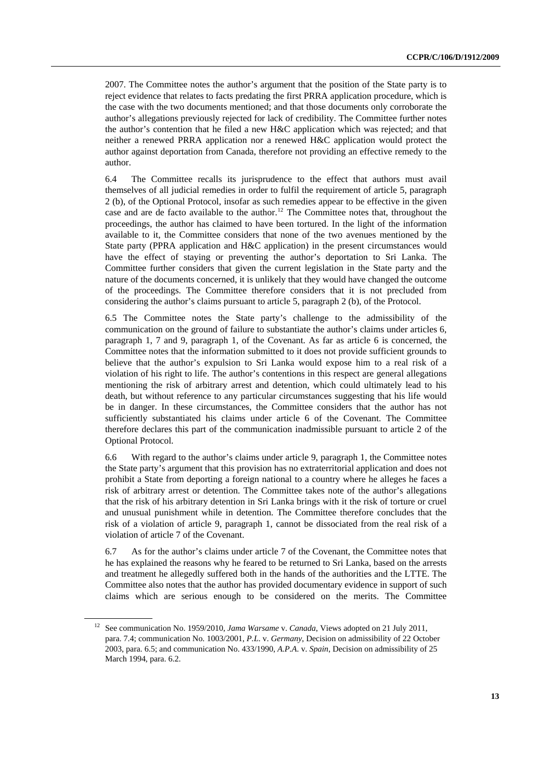2007. The Committee notes the author's argument that the position of the State party is to reject evidence that relates to facts predating the first PRRA application procedure, which is the case with the two documents mentioned; and that those documents only corroborate the author's allegations previously rejected for lack of credibility. The Committee further notes the author's contention that he filed a new H&C application which was rejected; and that neither a renewed PRRA application nor a renewed H&C application would protect the author against deportation from Canada, therefore not providing an effective remedy to the author.

6.4 The Committee recalls its jurisprudence to the effect that authors must avail themselves of all judicial remedies in order to fulfil the requirement of article 5, paragraph 2 (b), of the Optional Protocol, insofar as such remedies appear to be effective in the given case and are de facto available to the author.[12](#page-12-0) The Committee notes that, throughout the proceedings, the author has claimed to have been tortured. In the light of the information available to it, the Committee considers that none of the two avenues mentioned by the State party (PPRA application and H&C application) in the present circumstances would have the effect of staying or preventing the author's deportation to Sri Lanka. The Committee further considers that given the current legislation in the State party and the nature of the documents concerned, it is unlikely that they would have changed the outcome of the proceedings. The Committee therefore considers that it is not precluded from considering the author's claims pursuant to article 5, paragraph 2 (b), of the Protocol.

6.5 The Committee notes the State party's challenge to the admissibility of the communication on the ground of failure to substantiate the author's claims under articles 6, paragraph 1, 7 and 9, paragraph 1, of the Covenant. As far as article 6 is concerned, the Committee notes that the information submitted to it does not provide sufficient grounds to believe that the author's expulsion to Sri Lanka would expose him to a real risk of a violation of his right to life. The author's contentions in this respect are general allegations mentioning the risk of arbitrary arrest and detention, which could ultimately lead to his death, but without reference to any particular circumstances suggesting that his life would be in danger. In these circumstances, the Committee considers that the author has not sufficiently substantiated his claims under article 6 of the Covenant. The Committee therefore declares this part of the communication inadmissible pursuant to article 2 of the Optional Protocol.

6.6 With regard to the author's claims under article 9, paragraph 1, the Committee notes the State party's argument that this provision has no extraterritorial application and does not prohibit a State from deporting a foreign national to a country where he alleges he faces a risk of arbitrary arrest or detention. The Committee takes note of the author's allegations that the risk of his arbitrary detention in Sri Lanka brings with it the risk of torture or cruel and unusual punishment while in detention. The Committee therefore concludes that the risk of a violation of article 9, paragraph 1, cannot be dissociated from the real risk of a violation of article 7 of the Covenant.

6.7 As for the author's claims under article 7 of the Covenant, the Committee notes that he has explained the reasons why he feared to be returned to Sri Lanka, based on the arrests and treatment he allegedly suffered both in the hands of the authorities and the LTTE. The Committee also notes that the author has provided documentary evidence in support of such claims which are serious enough to be considered on the merits. The Committee

<span id="page-12-0"></span><sup>12</sup> See communication No. 1959/2010, *Jama Warsame* v. *Canada*, Views adopted on 21 July 2011, para. 7.4; communication No. 1003/2001, *P.L*. v. *Germany*, Decision on admissibility of 22 October 2003, para. 6.5; and communication No. 433/1990, *A.P.A*. v. *Spain*, Decision on admissibility of 25 March 1994, para. 6.2.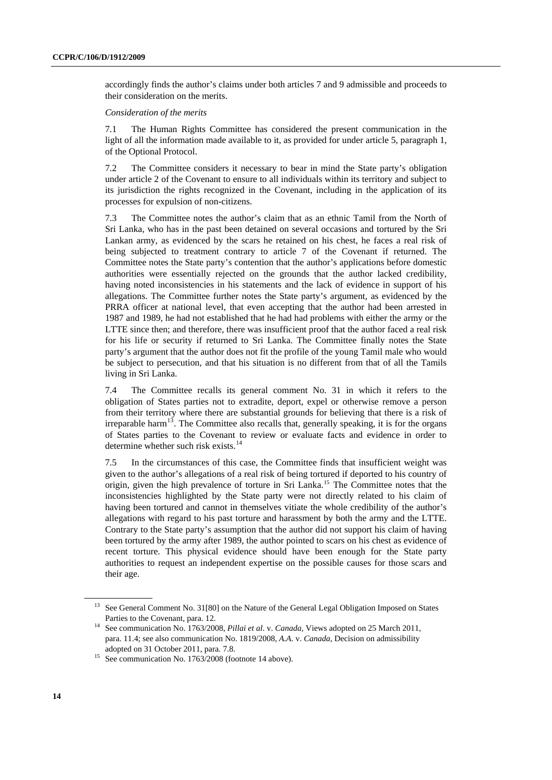accordingly finds the author's claims under both articles 7 and 9 admissible and proceeds to their consideration on the merits.

#### *Consideration of the merits*

7.1 The Human Rights Committee has considered the present communication in the light of all the information made available to it, as provided for under article 5, paragraph 1, of the Optional Protocol.

7.2 The Committee considers it necessary to bear in mind the State party's obligation under article 2 of the Covenant to ensure to all individuals within its territory and subject to its jurisdiction the rights recognized in the Covenant, including in the application of its processes for expulsion of non-citizens.

7.3 The Committee notes the author's claim that as an ethnic Tamil from the North of Sri Lanka, who has in the past been detained on several occasions and tortured by the Sri Lankan army, as evidenced by the scars he retained on his chest, he faces a real risk of being subjected to treatment contrary to article 7 of the Covenant if returned. The Committee notes the State party's contention that the author's applications before domestic authorities were essentially rejected on the grounds that the author lacked credibility, having noted inconsistencies in his statements and the lack of evidence in support of his allegations. The Committee further notes the State party's argument, as evidenced by the PRRA officer at national level, that even accepting that the author had been arrested in 1987 and 1989, he had not established that he had had problems with either the army or the LTTE since then; and therefore, there was insufficient proof that the author faced a real risk for his life or security if returned to Sri Lanka. The Committee finally notes the State party's argument that the author does not fit the profile of the young Tamil male who would be subject to persecution, and that his situation is no different from that of all the Tamils living in Sri Lanka.

7.4 The Committee recalls its general comment No. 31 in which it refers to the obligation of States parties not to extradite, deport, expel or otherwise remove a person from their territory where there are substantial grounds for believing that there is a risk of irreparable harm<sup>[13](#page-13-0)</sup>. The Committee also recalls that, generally speaking, it is for the organs of States parties to the Covenant to review or evaluate facts and evidence in order to determine whether such risk exists.<sup>[14](#page-13-1)</sup>

7.5 In the circumstances of this case, the Committee finds that insufficient weight was given to the author's allegations of a real risk of being tortured if deported to his country of origin, given the high prevalence of torture in Sri Lanka.[15](#page-13-2) The Committee notes that the inconsistencies highlighted by the State party were not directly related to his claim of having been tortured and cannot in themselves vitiate the whole credibility of the author's allegations with regard to his past torture and harassment by both the army and the LTTE. Contrary to the State party's assumption that the author did not support his claim of having been tortured by the army after 1989, the author pointed to scars on his chest as evidence of recent torture. This physical evidence should have been enough for the State party authorities to request an independent expertise on the possible causes for those scars and their age.

<span id="page-13-0"></span><sup>&</sup>lt;sup>13</sup> See General Comment No. 31[80] on the Nature of the General Legal Obligation Imposed on States

<span id="page-13-1"></span>Parties to the Covenant, para. 12.<br><sup>14</sup> See communication No. 1763/2008, *Pillai et al.* v. *Canada*, Views adopted on 25 March 2011, para. 11.4; see also communication No. 1819/2008, *A.A*. v. *Canada*, Decision on admissibility adopted on 31 October 2011, para. 7.8.<br><sup>15</sup> See communication No. 1763/2008 (footnote 14 above).

<span id="page-13-2"></span>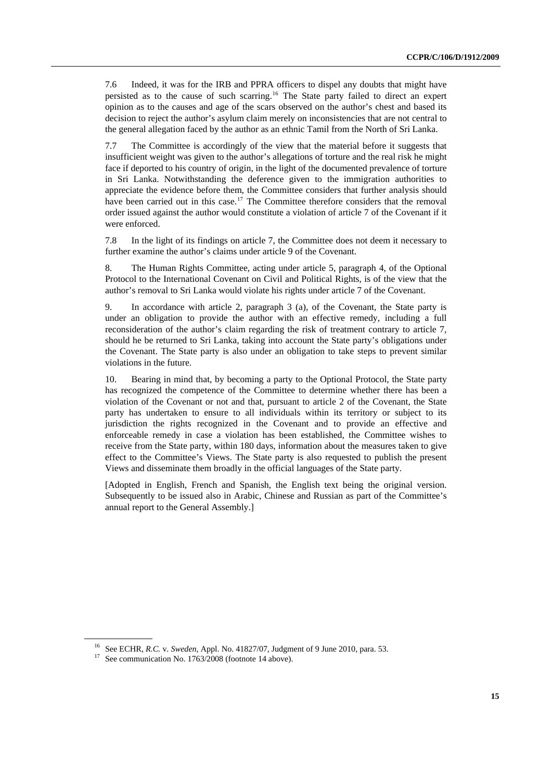7.6 Indeed, it was for the IRB and PPRA officers to dispel any doubts that might have persisted as to the cause of such scarring.[16](#page-14-0) The State party failed to direct an expert opinion as to the causes and age of the scars observed on the author's chest and based its decision to reject the author's asylum claim merely on inconsistencies that are not central to the general allegation faced by the author as an ethnic Tamil from the North of Sri Lanka.

7.7 The Committee is accordingly of the view that the material before it suggests that insufficient weight was given to the author's allegations of torture and the real risk he might face if deported to his country of origin, in the light of the documented prevalence of torture in Sri Lanka. Notwithstanding the deference given to the immigration authorities to appreciate the evidence before them, the Committee considers that further analysis should have been carried out in this case.<sup>[17](#page-14-1)</sup> The Committee therefore considers that the removal order issued against the author would constitute a violation of article 7 of the Covenant if it were enforced.

7.8 In the light of its findings on article 7, the Committee does not deem it necessary to further examine the author's claims under article 9 of the Covenant.

8. The Human Rights Committee, acting under article 5, paragraph 4, of the Optional Protocol to the International Covenant on Civil and Political Rights, is of the view that the author's removal to Sri Lanka would violate his rights under article 7 of the Covenant.

9. In accordance with article 2, paragraph 3 (a), of the Covenant, the State party is under an obligation to provide the author with an effective remedy, including a full reconsideration of the author's claim regarding the risk of treatment contrary to article 7, should he be returned to Sri Lanka, taking into account the State party's obligations under the Covenant. The State party is also under an obligation to take steps to prevent similar violations in the future.

10. Bearing in mind that, by becoming a party to the Optional Protocol, the State party has recognized the competence of the Committee to determine whether there has been a violation of the Covenant or not and that, pursuant to article 2 of the Covenant, the State party has undertaken to ensure to all individuals within its territory or subject to its jurisdiction the rights recognized in the Covenant and to provide an effective and enforceable remedy in case a violation has been established, the Committee wishes to receive from the State party, within 180 days, information about the measures taken to give effect to the Committee's Views. The State party is also requested to publish the present Views and disseminate them broadly in the official languages of the State party.

[Adopted in English, French and Spanish, the English text being the original version. Subsequently to be issued also in Arabic, Chinese and Russian as part of the Committee's annual report to the General Assembly.]

<span id="page-14-1"></span><span id="page-14-0"></span><sup>&</sup>lt;sup>16</sup> See ECHR, *R.C. v. Sweden*, Appl. No. 41827/07, Judgment of 9 June 2010, para. 53.<br><sup>17</sup> See communication No. 1763/2008 (footnote 14 above).